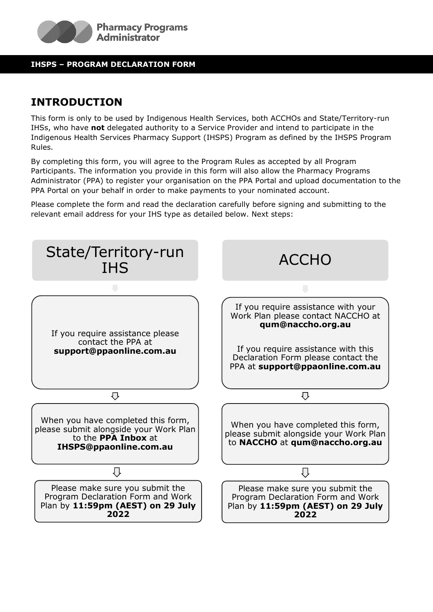

#### **IHSPS – PROGRAM DECLARATION FORM**

# **INTRODUCTION**

This form is only to be used by Indigenous Health Services, both ACCHOs and State/Territory-run IHSs, who have **not** delegated authority to a Service Provider and intend to participate in the Indigenous Health Services Pharmacy Support (IHSPS) Program as defined by the IHSPS Program Rules.

By completing this form, you will agree to the Program Rules as accepted by all Program Participants. The information you provide in this form will also allow the Pharmacy Programs Administrator (PPA) to register your organisation on the PPA Portal and upload documentation to the PPA Portal on your behalf in order to make payments to your nominated account.

Please complete the form and read the declaration carefully before signing and submitting to the relevant email address for your IHS type as detailed below. Next steps:

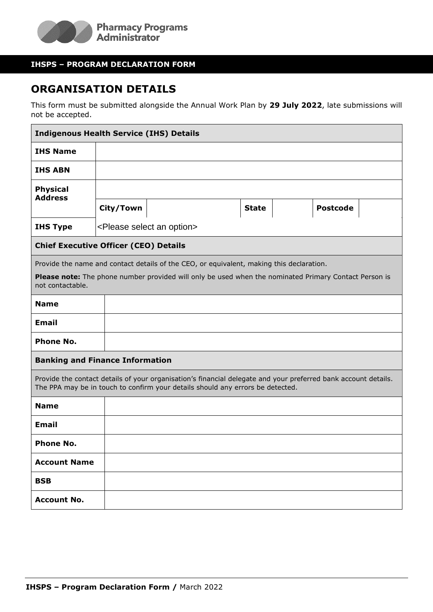

#### **IHSPS – PROGRAM DECLARATION FORM**

### **ORGANISATION DETAILS**

This form must be submitted alongside the Annual Work Plan by **29 July 2022**, late submissions will not be accepted.

| <b>Indigenous Health Service (IHS) Details</b>                                                                                                                                                                        |           |                                             |              |  |                 |  |  |
|-----------------------------------------------------------------------------------------------------------------------------------------------------------------------------------------------------------------------|-----------|---------------------------------------------|--------------|--|-----------------|--|--|
| <b>IHS Name</b>                                                                                                                                                                                                       |           |                                             |              |  |                 |  |  |
| <b>IHS ABN</b>                                                                                                                                                                                                        |           |                                             |              |  |                 |  |  |
| <b>Physical</b><br><b>Address</b>                                                                                                                                                                                     |           |                                             |              |  |                 |  |  |
|                                                                                                                                                                                                                       | City/Town |                                             | <b>State</b> |  | <b>Postcode</b> |  |  |
| <b>IHS Type</b>                                                                                                                                                                                                       |           | <please an="" option="" select=""></please> |              |  |                 |  |  |
| <b>Chief Executive Officer (CEO) Details</b>                                                                                                                                                                          |           |                                             |              |  |                 |  |  |
| Provide the name and contact details of the CEO, or equivalent, making this declaration.<br>Please note: The phone number provided will only be used when the nominated Primary Contact Person is<br>not contactable. |           |                                             |              |  |                 |  |  |
| <b>Name</b>                                                                                                                                                                                                           |           |                                             |              |  |                 |  |  |
| <b>Email</b>                                                                                                                                                                                                          |           |                                             |              |  |                 |  |  |
| <b>Phone No.</b>                                                                                                                                                                                                      |           |                                             |              |  |                 |  |  |
| <b>Banking and Finance Information</b>                                                                                                                                                                                |           |                                             |              |  |                 |  |  |
| Provide the contact details of your organisation's financial delegate and your preferred bank account details.<br>The PPA may be in touch to confirm your details should any errors be detected.                      |           |                                             |              |  |                 |  |  |
| <b>Name</b>                                                                                                                                                                                                           |           |                                             |              |  |                 |  |  |
| <b>Email</b>                                                                                                                                                                                                          |           |                                             |              |  |                 |  |  |
| <b>Phone No.</b>                                                                                                                                                                                                      |           |                                             |              |  |                 |  |  |
| <b>Account Name</b>                                                                                                                                                                                                   |           |                                             |              |  |                 |  |  |
| <b>BSB</b>                                                                                                                                                                                                            |           |                                             |              |  |                 |  |  |
| <b>Account No.</b>                                                                                                                                                                                                    |           |                                             |              |  |                 |  |  |